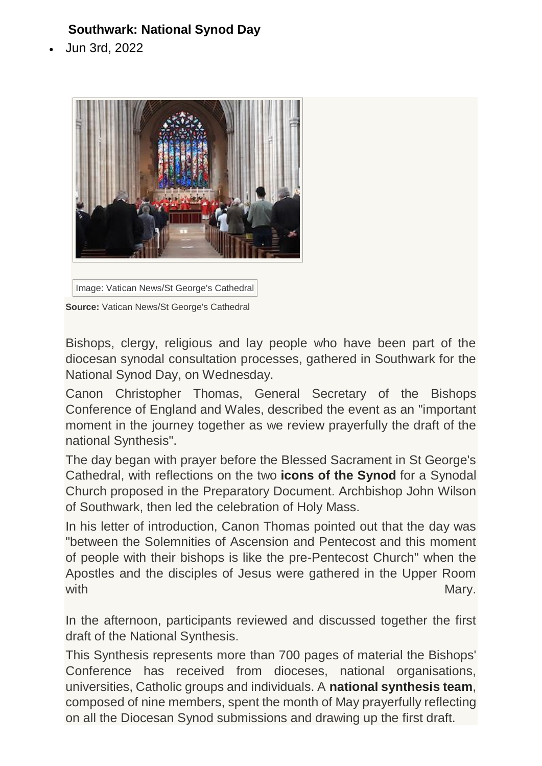## **Southwark: National Synod Day**

Jun 3rd, 2022



Image: Vatican News/St George's Cathedral

**Source:** Vatican News/St George's Cathedral

Bishops, clergy, religious and lay people who have been part of the diocesan synodal consultation processes, gathered in Southwark for the National Synod Day, on Wednesday.

Canon Christopher Thomas, General Secretary of the Bishops Conference of England and Wales, described the event as an "important moment in the journey together as we review prayerfully the draft of the national Synthesis".

The day began with prayer before the Blessed Sacrament in St George's Cathedral, with reflections on the two **[icons of the Synod](https://www.synod.va/en/what-is-the-synod-21-23/the-icons-of-the-synod.html)** for a Synodal Church proposed in the Preparatory Document. Archbishop John Wilson of Southwark, then led the celebration of Holy Mass.

In his letter of introduction, Canon Thomas pointed out that the day was "between the Solemnities of Ascension and Pentecost and this moment of people with their bishops is like the pre-Pentecost Church" when the Apostles and the disciples of Jesus were gathered in the Upper Room with the contract of the contract of the contract of the contract of the contract of the Mary.

In the afternoon, participants reviewed and discussed together the first draft of the National Synthesis.

This Synthesis represents more than 700 pages of material the Bishops' Conference has received from dioceses, national organisations, universities, Catholic groups and individuals. A **[national synthesis team](https://www.cbcew.org.uk/synod-national-synthesis-team/)**, composed of nine members, spent the month of May prayerfully reflecting on all the Diocesan Synod submissions and drawing up the first draft.